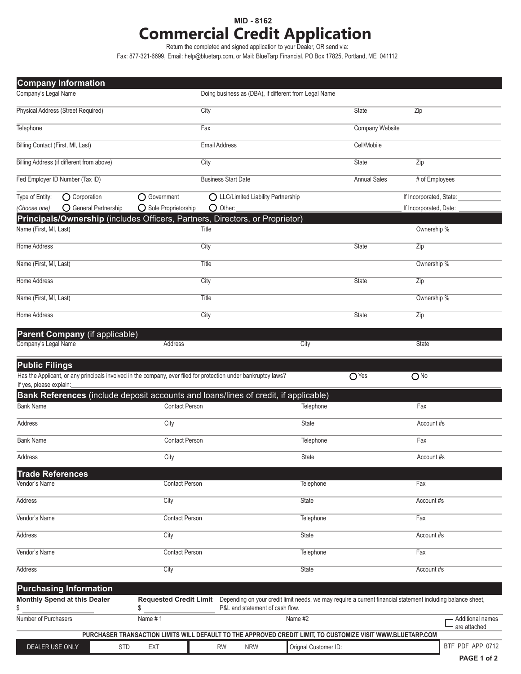## **MID - 8162 Commercial Credit Application**

Return the completed and signed application to your Dealer, OR send via:

Fax: 877-321-6699, Email: help@bluetarp.com, or Mail: BlueTarp Financial, PO Box 17825, Portland, ME 041112

| <b>Company Information</b>                                                                                     |                                                                                                             |                            |                                                       |                      |                                                                                                             |                         |                  |
|----------------------------------------------------------------------------------------------------------------|-------------------------------------------------------------------------------------------------------------|----------------------------|-------------------------------------------------------|----------------------|-------------------------------------------------------------------------------------------------------------|-------------------------|------------------|
| Company's Legal Name                                                                                           |                                                                                                             |                            | Doing business as (DBA), if different from Legal Name |                      |                                                                                                             |                         |                  |
| Physical Address (Street Required)                                                                             |                                                                                                             | City                       |                                                       |                      | State                                                                                                       | Zip                     |                  |
| Telephone                                                                                                      |                                                                                                             | Fax                        |                                                       |                      | Company Website                                                                                             |                         |                  |
| Billing Contact (First, MI, Last)                                                                              |                                                                                                             | <b>Email Address</b>       |                                                       |                      | Cell/Mobile                                                                                                 |                         |                  |
| Billing Address (if different from above)                                                                      |                                                                                                             | City                       |                                                       |                      | State                                                                                                       | $\overline{Zip}$        |                  |
| Fed Employer ID Number (Tax ID)                                                                                |                                                                                                             | <b>Business Start Date</b> |                                                       |                      | <b>Annual Sales</b>                                                                                         | # of Employees          |                  |
| Type of Entity:<br>O Corporation                                                                               | O Government                                                                                                |                            | ◯ LLC/Limited Liability Partnership                   |                      |                                                                                                             | If Incorporated, State: |                  |
| O General Partnership<br>(Choose one)                                                                          | O Sole Proprietorship                                                                                       | $\bigcirc$ Other:          |                                                       |                      |                                                                                                             | If Incorporated, Date:  |                  |
| Principals/Ownership (includes Officers, Partners, Directors, or Proprietor)                                   |                                                                                                             |                            |                                                       |                      |                                                                                                             |                         |                  |
| Name (First, MI, Last)                                                                                         |                                                                                                             | Title                      |                                                       |                      |                                                                                                             | Ownership %             |                  |
| Home Address                                                                                                   |                                                                                                             | City                       |                                                       |                      | State                                                                                                       | $\overline{Zip}$        |                  |
| Name (First, MI, Last)                                                                                         |                                                                                                             | <b>Title</b>               |                                                       |                      |                                                                                                             | Ownership %             |                  |
| Home Address                                                                                                   |                                                                                                             | City                       |                                                       |                      | State                                                                                                       | Zip                     |                  |
| Name (First, MI, Last)                                                                                         |                                                                                                             | Title                      |                                                       |                      |                                                                                                             | Ownership %             |                  |
| Home Address                                                                                                   |                                                                                                             | City                       |                                                       |                      | <b>State</b>                                                                                                | Zip                     |                  |
| Parent Company (if applicable)                                                                                 |                                                                                                             |                            |                                                       |                      |                                                                                                             |                         |                  |
| Company's Legal Name                                                                                           | Address                                                                                                     |                            |                                                       | City                 |                                                                                                             | <b>State</b>            |                  |
| <b>Public Filings</b>                                                                                          |                                                                                                             |                            |                                                       |                      |                                                                                                             |                         |                  |
| Has the Applicant, or any principals involved in the company, ever filed for protection under bankruptcy laws? |                                                                                                             |                            |                                                       |                      | O <sub>Yes</sub>                                                                                            | $O$ No                  |                  |
| If yes, please explain:                                                                                        |                                                                                                             |                            |                                                       |                      |                                                                                                             |                         |                  |
| Bank References (include deposit accounts and loans/lines of credit, if applicable)<br><b>Bank Name</b>        | <b>Contact Person</b>                                                                                       |                            |                                                       | Telephone            |                                                                                                             | Fax                     |                  |
| <b>Address</b>                                                                                                 | City                                                                                                        |                            |                                                       | <b>State</b>         |                                                                                                             | Account#s               |                  |
| <b>Bank Name</b>                                                                                               | <b>Contact Person</b>                                                                                       |                            |                                                       | Telephone            |                                                                                                             | Fax                     |                  |
| Address                                                                                                        | City                                                                                                        |                            |                                                       | State                |                                                                                                             | Account #s              |                  |
| <b>Trade References</b>                                                                                        |                                                                                                             |                            |                                                       |                      |                                                                                                             |                         |                  |
| Vendor's Name                                                                                                  | <b>Contact Person</b>                                                                                       |                            |                                                       | Telephone            |                                                                                                             | Fax                     |                  |
| <b>Address</b><br>City                                                                                         |                                                                                                             | State                      |                                                       |                      |                                                                                                             | Account #s              |                  |
| Vendor's Name                                                                                                  | <b>Contact Person</b>                                                                                       |                            | Telephone                                             |                      |                                                                                                             | Fax                     |                  |
| Address                                                                                                        | City                                                                                                        |                            | State                                                 |                      |                                                                                                             | Account #s              |                  |
| Vendor's Name                                                                                                  | <b>Contact Person</b>                                                                                       |                            |                                                       | Telephone            |                                                                                                             | Fax                     |                  |
| Address                                                                                                        | City                                                                                                        |                            |                                                       | <b>State</b>         |                                                                                                             | Account #s              |                  |
| <b>Purchasing Information</b>                                                                                  |                                                                                                             |                            |                                                       |                      |                                                                                                             |                         |                  |
| Monthly Spend at this Dealer                                                                                   | <b>Requested Credit Limit</b>                                                                               |                            | P&L and statement of cash flow.                       |                      | Depending on your credit limit needs, we may require a current financial statement including balance sheet, |                         |                  |
| \$<br>Number of Purchasers                                                                                     | \$<br>Name #1                                                                                               |                            |                                                       | Name #2              |                                                                                                             |                         | Additional names |
|                                                                                                                | PURCHASER TRANSACTION LIMITS WILL DEFAULT TO THE APPROVED CREDIT LIMIT, TO CUSTOMIZE VISIT WWW.BLUETARP.COM |                            |                                                       |                      |                                                                                                             |                         | are attached     |
| DEALER USE ONLY<br><b>STD</b>                                                                                  | <b>EXT</b>                                                                                                  | <b>RW</b>                  | <b>NRW</b>                                            | Orignal Customer ID: |                                                                                                             |                         | BTF_PDF_APP_0712 |
|                                                                                                                |                                                                                                             |                            |                                                       |                      |                                                                                                             |                         |                  |